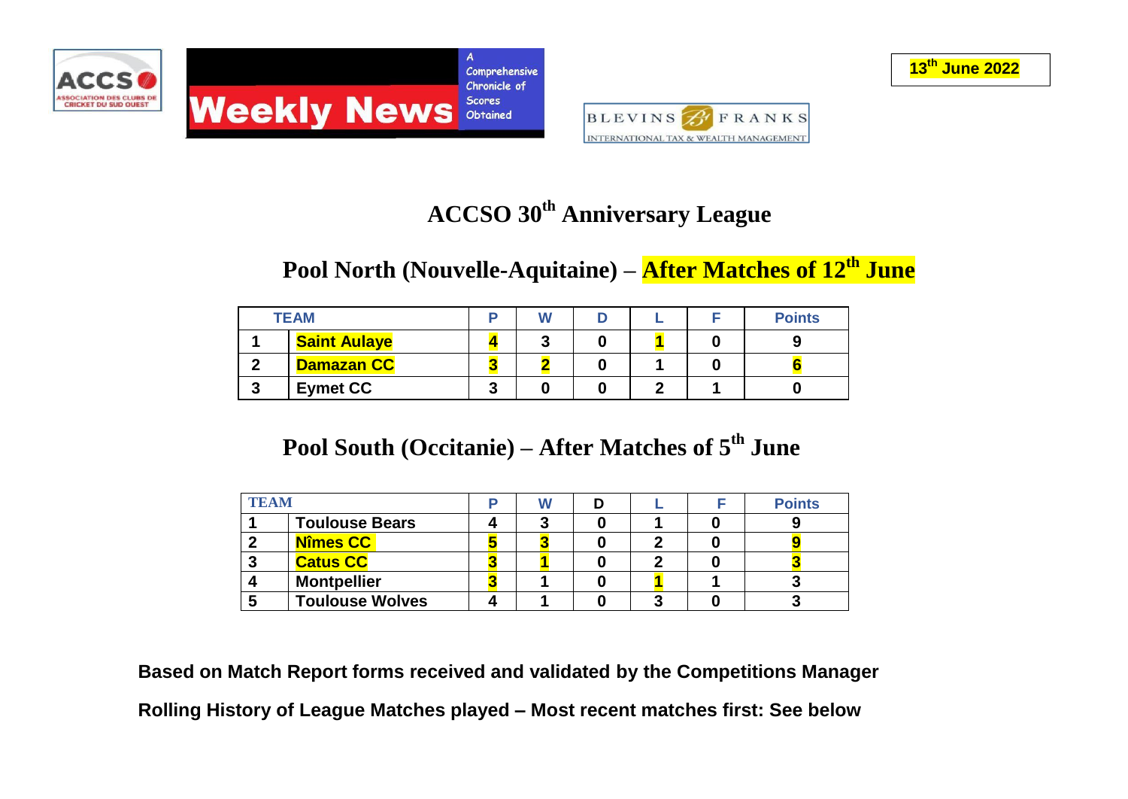



# **ACCSO 30th Anniversary League**

### **Pool North (Nouvelle-Aquitaine) – After Matches of 12th June**

|          | <b>TEAM</b>         |   |  |  | <b>Points</b> |
|----------|---------------------|---|--|--|---------------|
|          | <b>Saint Aulaye</b> |   |  |  |               |
| ◠        | <b>Damazan CC</b>   |   |  |  |               |
| £<br>- 1 | <b>Eymet CC</b>     | u |  |  |               |

### **Pool South (Occitanie) – After Matches of 5 th June**

| <b>TEAM</b> |                        | W |  | <b>Points</b> |
|-------------|------------------------|---|--|---------------|
|             | <b>Toulouse Bears</b>  |   |  |               |
|             | Nîmes CC               |   |  |               |
|             | <b>Catus CC</b>        |   |  |               |
|             | <b>Montpellier</b>     |   |  |               |
|             | <b>Toulouse Wolves</b> |   |  |               |

**Based on Match Report forms received and validated by the Competitions Manager Rolling History of League Matches played – Most recent matches first: See below**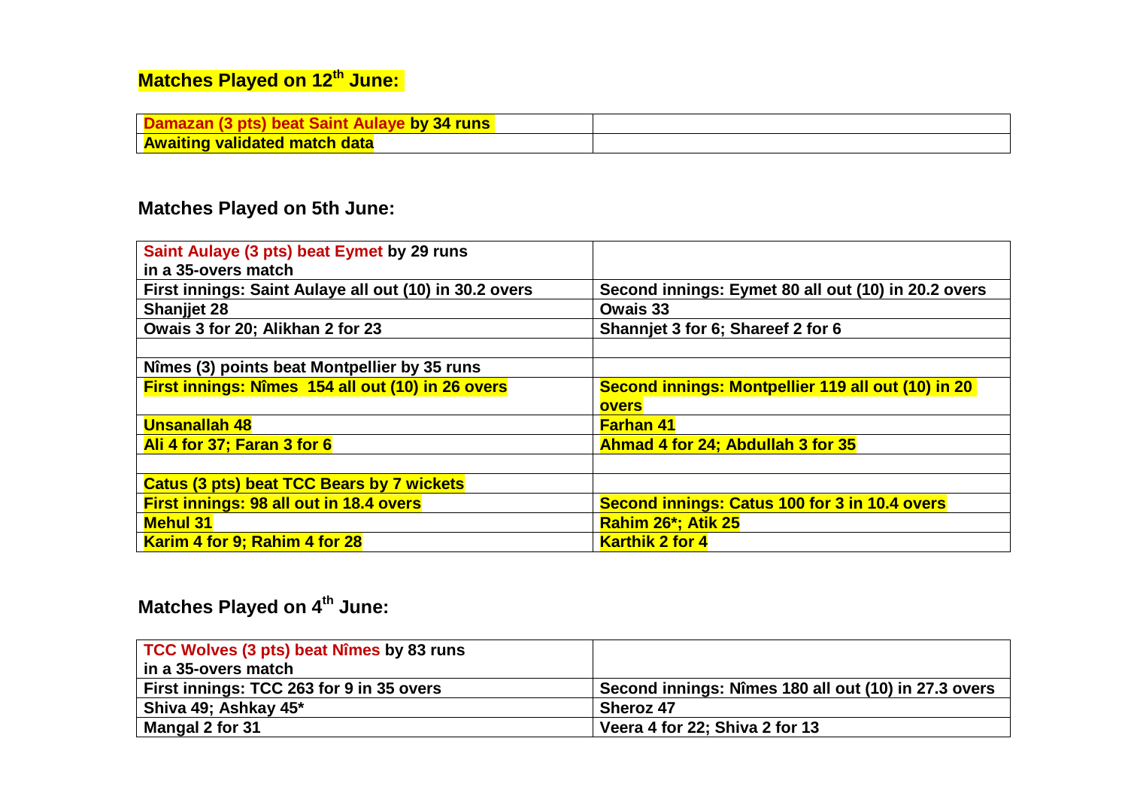# **Matches Played on 12th June:**

| <b>by 34 runs</b><br><u>- Damazan (3 bis) beat Saint Aula</u> |  |
|---------------------------------------------------------------|--|
| <b>Awaiting validated match data</b>                          |  |

#### **Matches Played on 5th June:**

| Saint Aulaye (3 pts) beat Eymet by 29 runs             |                                                     |
|--------------------------------------------------------|-----------------------------------------------------|
| in a 35-overs match                                    |                                                     |
| First innings: Saint Aulaye all out (10) in 30.2 overs | Second innings: Eymet 80 all out (10) in 20.2 overs |
| <b>Shanjjet 28</b>                                     | Owais 33                                            |
| Owais 3 for 20; Alikhan 2 for 23                       | Shannjet 3 for 6; Shareef 2 for 6                   |
|                                                        |                                                     |
| Nîmes (3) points beat Montpellier by 35 runs           |                                                     |
| First innings: Nîmes 154 all out (10) in 26 overs      | Second innings: Montpellier 119 all out (10) in 20  |
|                                                        | overs                                               |
| <b>Unsanallah 48</b>                                   | <b>Farhan 41</b>                                    |
| Ali 4 for 37; Faran 3 for 6                            | Ahmad 4 for 24; Abdullah 3 for 35                   |
|                                                        |                                                     |
| <b>Catus (3 pts) beat TCC Bears by 7 wickets</b>       |                                                     |
| <b>First innings: 98 all out in 18.4 overs</b>         | Second innings: Catus 100 for 3 in 10.4 overs       |
| <b>Mehul 31</b>                                        | Rahim 26*; Atik 25                                  |
| Karim 4 for 9; Rahim 4 for 28                          | <b>Karthik 2 for 4</b>                              |

# **Matches Played on 4th June:**

| TCC Wolves (3 pts) beat Nîmes by 83 runs |                                                      |
|------------------------------------------|------------------------------------------------------|
| in a 35-overs match                      |                                                      |
| First innings: TCC 263 for 9 in 35 overs | Second innings: Nîmes 180 all out (10) in 27.3 overs |
| Shiva 49; Ashkay 45*                     | <b>Sheroz 47</b>                                     |
| Mangal 2 for 31                          | Veera 4 for 22; Shiva 2 for 13                       |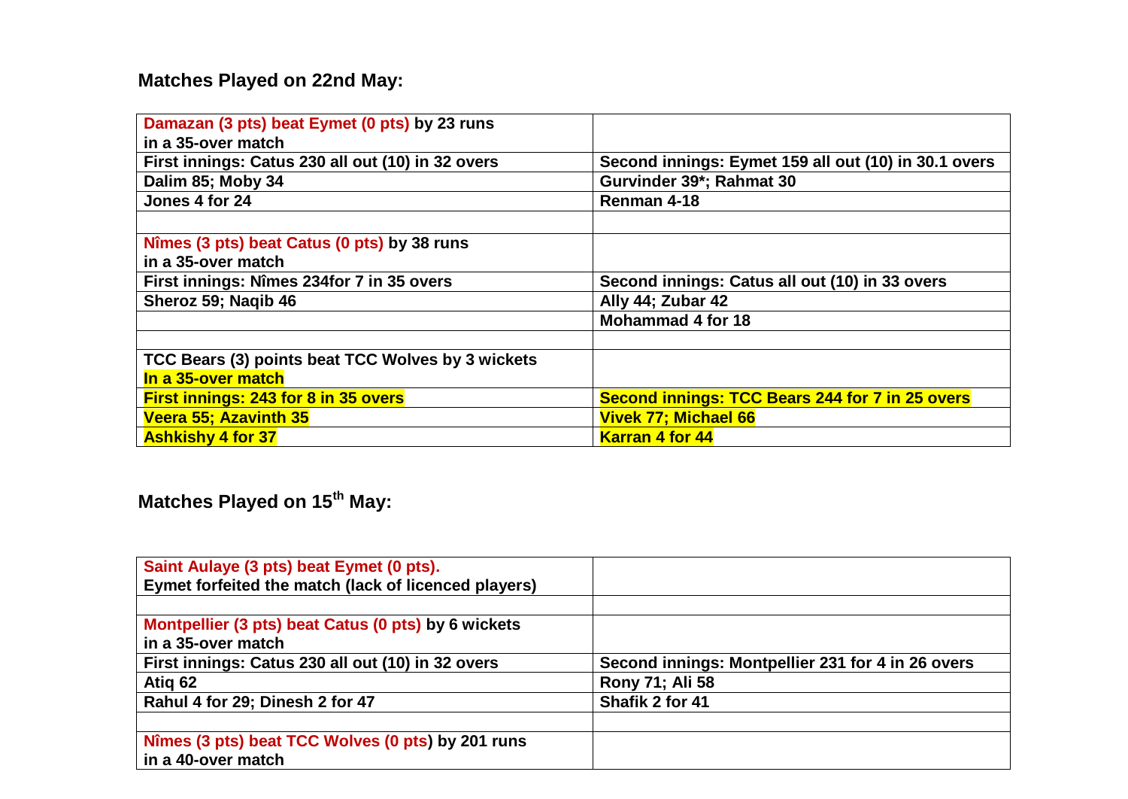#### **Matches Played on 22nd May:**

| Damazan (3 pts) beat Eymet (0 pts) by 23 runs     |                                                        |
|---------------------------------------------------|--------------------------------------------------------|
| in a 35-over match                                |                                                        |
| First innings: Catus 230 all out (10) in 32 overs | Second innings: Eymet 159 all out (10) in 30.1 overs   |
| Dalim 85; Moby 34                                 | Gurvinder 39*; Rahmat 30                               |
| Jones 4 for 24                                    | Renman 4-18                                            |
|                                                   |                                                        |
| Nîmes (3 pts) beat Catus (0 pts) by 38 runs       |                                                        |
| in a 35-over match                                |                                                        |
| First innings: Nîmes 234for 7 in 35 overs         | Second innings: Catus all out (10) in 33 overs         |
| Sheroz 59; Nagib 46                               | Ally 44; Zubar 42                                      |
|                                                   | <b>Mohammad 4 for 18</b>                               |
|                                                   |                                                        |
| TCC Bears (3) points beat TCC Wolves by 3 wickets |                                                        |
| In a 35-over match                                |                                                        |
| First innings: 243 for 8 in 35 overs              | <b>Second innings: TCC Bears 244 for 7 in 25 overs</b> |
| Veera 55; Azavinth 35                             | <b>Vivek 77; Michael 66</b>                            |
| <b>Ashkishy 4 for 37</b>                          | <b>Karran 4 for 44</b>                                 |

**Matches Played on 15th May:** 

| Saint Aulaye (3 pts) beat Eymet (0 pts).             |                                                   |
|------------------------------------------------------|---------------------------------------------------|
| Eymet forfeited the match (lack of licenced players) |                                                   |
|                                                      |                                                   |
| Montpellier (3 pts) beat Catus (0 pts) by 6 wickets  |                                                   |
| in a 35-over match                                   |                                                   |
| First innings: Catus 230 all out (10) in 32 overs    | Second innings: Montpellier 231 for 4 in 26 overs |
| Atiq 62                                              | Rony 71; Ali 58                                   |
| Rahul 4 for 29; Dinesh 2 for 47                      | Shafik 2 for 41                                   |
|                                                      |                                                   |
| Nîmes (3 pts) beat TCC Wolves (0 pts) by 201 runs    |                                                   |
| ∣ in a 40-over match                                 |                                                   |